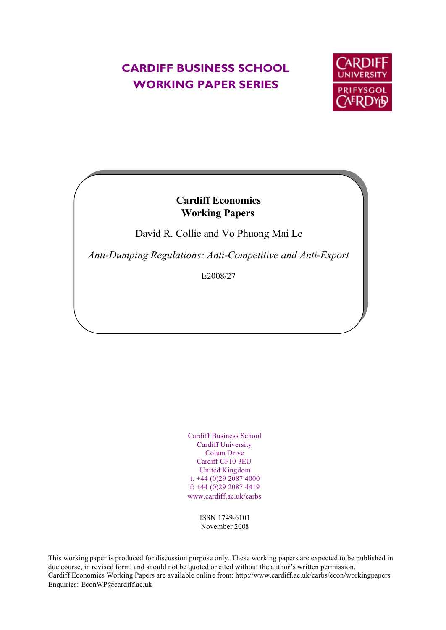## **CARDIFF BUSINESS SCHOOL WORKING PAPER SERIES**



### **Cardiff Economics Working Papers**

David R. Collie and Vo Phuong Mai Le

*Anti-Dumping Regulations: Anti-Competitive and Anti-Export*

E2008/27

Cardiff Business School Cardiff University Colum Drive Cardiff CF10 3EU United Kingdom t: +44 (0)29 2087 4000 f: +44 (0)29 2087 4419 www.cardiff.ac.uk/carbs

> ISSN 1749-6101 November 2008

This working paper is produced for discussion purpose only. These working papers are expected to be published in due course, in revised form, and should not be quoted or cited without the author's written permission. Cardiff Economics Working Papers are available online from: http://www.cardiff.ac.uk/carbs/econ/workingpapers Enquiries: EconWP@cardiff.ac.uk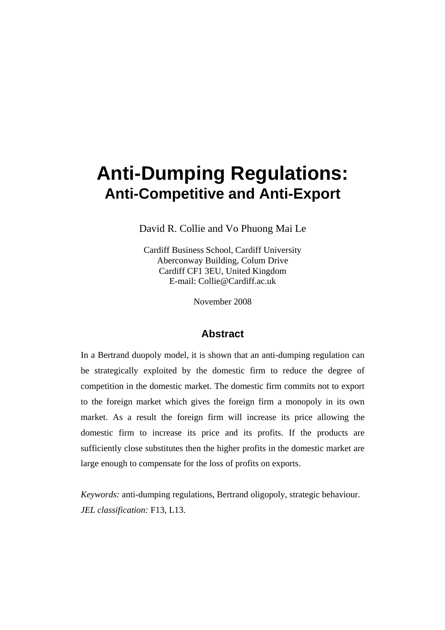# **Anti-Dumping Regulations: Anti-Competitive and Anti-Export**

David R. Collie and Vo Phuong Mai Le

Cardiff Business School, Cardiff University Aberconway Building, Colum Drive Cardiff CF1 3EU, United Kingdom E-mail: Collie@Cardiff.ac.uk

November 2008

#### **Abstract**

In a Bertrand duopoly model, it is shown that an anti-dumping regulation can be strategically exploited by the domestic firm to reduce the degree of competition in the domestic market. The domestic firm commits not to export to the foreign market which gives the foreign firm a monopoly in its own market. As a result the foreign firm will increase its price allowing the domestic firm to increase its price and its profits. If the products are sufficiently close substitutes then the higher profits in the domestic market are large enough to compensate for the loss of profits on exports.

*Keywords:* anti-dumping regulations, Bertrand oligopoly, strategic behaviour. *JEL classification:* F13, L13.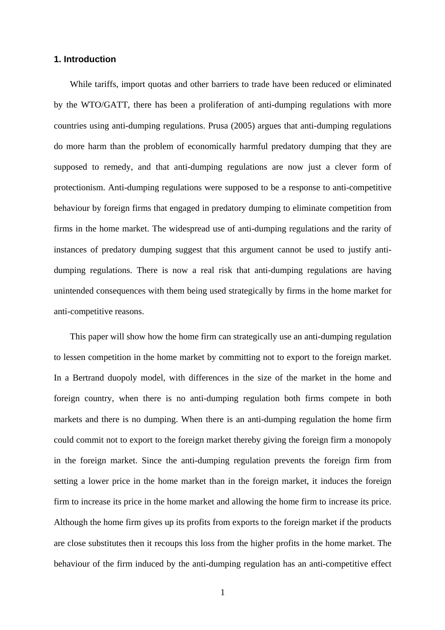#### **1. Introduction**

While tariffs, import quotas and other barriers to trade have been reduced or eliminated by the WTO/GATT, there has been a proliferation of anti-dumping regulations with more countries using anti-dumping regulations. Prusa (2005) argues that anti-dumping regulations do more harm than the problem of economically harmful predatory dumping that they are supposed to remedy, and that anti-dumping regulations are now just a clever form of protectionism. Anti-dumping regulations were supposed to be a response to anti-competitive behaviour by foreign firms that engaged in predatory dumping to eliminate competition from firms in the home market. The widespread use of anti-dumping regulations and the rarity of instances of predatory dumping suggest that this argument cannot be used to justify antidumping regulations. There is now a real risk that anti-dumping regulations are having unintended consequences with them being used strategically by firms in the home market for anti-competitive reasons.

This paper will show how the home firm can strategically use an anti-dumping regulation to lessen competition in the home market by committing not to export to the foreign market. In a Bertrand duopoly model, with differences in the size of the market in the home and foreign country, when there is no anti-dumping regulation both firms compete in both markets and there is no dumping. When there is an anti-dumping regulation the home firm could commit not to export to the foreign market thereby giving the foreign firm a monopoly in the foreign market. Since the anti-dumping regulation prevents the foreign firm from setting a lower price in the home market than in the foreign market, it induces the foreign firm to increase its price in the home market and allowing the home firm to increase its price. Although the home firm gives up its profits from exports to the foreign market if the products are close substitutes then it recoups this loss from the higher profits in the home market. The behaviour of the firm induced by the anti-dumping regulation has an anti-competitive effect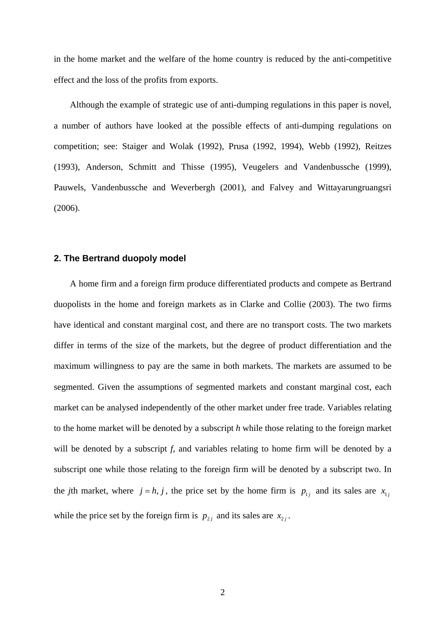in the home market and the welfare of the home country is reduced by the anti-competitive effect and the loss of the profits from exports.

Although the example of strategic use of anti-dumping regulations in this paper is novel, a number of authors have looked at the possible effects of anti-dumping regulations on competition; see: Staiger and Wolak (1992), Prusa (1992, 1994), Webb (1992), Reitzes (1993), Anderson, Schmitt and Thisse (1995), Veugelers and Vandenbussche (1999), Pauwels, Vandenbussche and Weverbergh (2001), and Falvey and Wittayarungruangsri (2006).

#### **2. The Bertrand duopoly model**

A home firm and a foreign firm produce differentiated products and compete as Bertrand duopolists in the home and foreign markets as in Clarke and Collie (2003). The two firms have identical and constant marginal cost, and there are no transport costs. The two markets differ in terms of the size of the markets, but the degree of product differentiation and the maximum willingness to pay are the same in both markets. The markets are assumed to be segmented. Given the assumptions of segmented markets and constant marginal cost, each market can be analysed independently of the other market under free trade. Variables relating to the home market will be denoted by a subscript *h* while those relating to the foreign market will be denoted by a subscript *f*, and variables relating to home firm will be denoted by a subscript one while those relating to the foreign firm will be denoted by a subscript two. In the *j*th market, where  $j = h, j$ , the price set by the home firm is  $p_{1j}$  and its sales are  $x_{1j}$ while the price set by the foreign firm is  $p_{2j}$  and its sales are  $x_{2j}$ .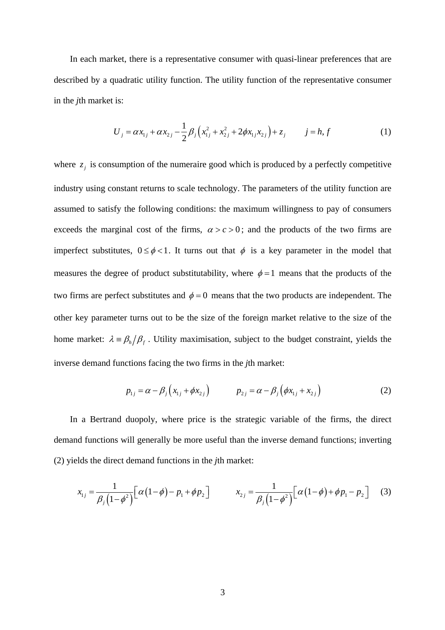In each market, there is a representative consumer with quasi-linear preferences that are described by a quadratic utility function. The utility function of the representative consumer in the *j*th market is:

$$
U_j = \alpha x_{1j} + \alpha x_{2j} - \frac{1}{2} \beta_j \left( x_{1j}^2 + x_{2j}^2 + 2 \phi x_{1j} x_{2j} \right) + z_j \qquad j = h, f \qquad (1)
$$

where  $z_i$  is consumption of the numeraire good which is produced by a perfectly competitive industry using constant returns to scale technology. The parameters of the utility function are assumed to satisfy the following conditions: the maximum willingness to pay of consumers exceeds the marginal cost of the firms,  $\alpha > c > 0$ ; and the products of the two firms are imperfect substitutes,  $0 \le \phi < 1$ . It turns out that  $\phi$  is a key parameter in the model that measures the degree of product substitutability, where  $\phi = 1$  means that the products of the two firms are perfect substitutes and  $\phi = 0$  means that the two products are independent. The other key parameter turns out to be the size of the foreign market relative to the size of the home market:  $\lambda = \beta_h / \beta_f$ . Utility maximisation, subject to the budget constraint, yields the inverse demand functions facing the two firms in the *j*th market:

$$
p_{1j} = \alpha - \beta_j (x_{1j} + \phi x_{2j}) \qquad p_{2j} = \alpha - \beta_j (\phi x_{1j} + x_{2j}) \qquad (2)
$$

In a Bertrand duopoly, where price is the strategic variable of the firms, the direct demand functions will generally be more useful than the inverse demand functions; inverting (2) yields the direct demand functions in the *j*th market:

$$
x_{1j} = \frac{1}{\beta_j (1 - \phi^2)} \Big[ \alpha (1 - \phi) - p_1 + \phi p_2 \Big] \qquad x_{2j} = \frac{1}{\beta_j (1 - \phi^2)} \Big[ \alpha (1 - \phi) + \phi p_1 - p_2 \Big] \tag{3}
$$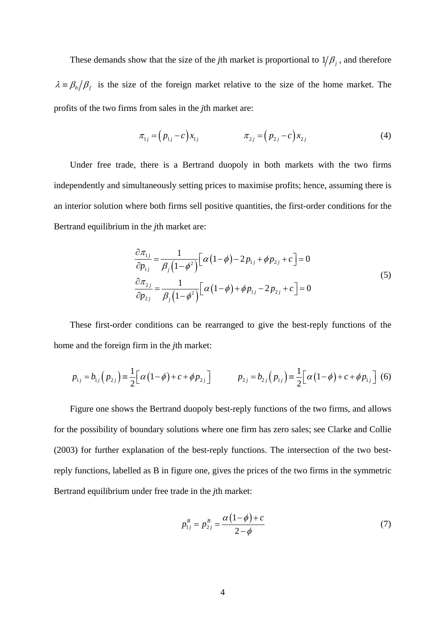These demands show that the size of the *j*th market is proportional to  $1/\beta$ , and therefore  $\lambda = \beta_h / \beta_f$  is the size of the foreign market relative to the size of the home market. The profits of the two firms from sales in the *j*th market are:

$$
\pi_{1j} = (p_{1j} - c)x_{1j} \qquad \pi_{2j} = (p_{2j} - c)x_{2j} \qquad (4)
$$

Under free trade, there is a Bertrand duopoly in both markets with the two firms independently and simultaneously setting prices to maximise profits; hence, assuming there is an interior solution where both firms sell positive quantities, the first-order conditions for the Bertrand equilibrium in the *j*th market are:

$$
\frac{\partial \pi_{1j}}{\partial p_{1j}} = \frac{1}{\beta_j (1 - \phi^2)} \Big[ \alpha (1 - \phi) - 2 p_{1j} + \phi p_{2j} + c \Big] = 0
$$
\n
$$
\frac{\partial \pi_{2j}}{\partial p_{2j}} = \frac{1}{\beta_j (1 - \phi^2)} \Big[ \alpha (1 - \phi) + \phi p_{1j} - 2 p_{2j} + c \Big] = 0
$$
\n(5)

These first-order conditions can be rearranged to give the best-reply functions of the home and the foreign firm in the *j*th market:

$$
p_{1j} = b_{1j} (p_{2j}) = \frac{1}{2} [\alpha (1 - \phi) + c + \phi p_{2j}] \qquad p_{2j} = b_{2j} (p_{1j}) = \frac{1}{2} [\alpha (1 - \phi) + c + \phi p_{1j}] \tag{6}
$$

Figure one shows the Bertrand duopoly best-reply functions of the two firms, and allows for the possibility of boundary solutions where one firm has zero sales; see Clarke and Collie (2003) for further explanation of the best-reply functions. The intersection of the two bestreply functions, labelled as B in figure one, gives the prices of the two firms in the symmetric Bertrand equilibrium under free trade in the *j*th market:

$$
p_{1j}^{B} = p_{2j}^{B} = \frac{\alpha (1 - \phi) + c}{2 - \phi}
$$
 (7)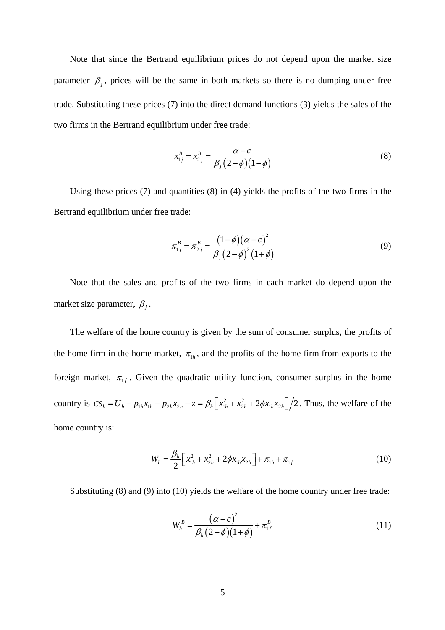Note that since the Bertrand equilibrium prices do not depend upon the market size parameter  $\beta$ , prices will be the same in both markets so there is no dumping under free trade. Substituting these prices (7) into the direct demand functions (3) yields the sales of the two firms in the Bertrand equilibrium under free trade:

$$
x_{1j}^{B} = x_{2j}^{B} = \frac{\alpha - c}{\beta_{j} (2 - \phi)(1 - \phi)}
$$
(8)

Using these prices (7) and quantities (8) in (4) yields the profits of the two firms in the Bertrand equilibrium under free trade:

$$
\pi_{1j}^{B} = \pi_{2j}^{B} = \frac{(1-\phi)(\alpha - c)^{2}}{\beta_{j}(2-\phi)^{2}(1+\phi)}
$$
(9)

Note that the sales and profits of the two firms in each market do depend upon the market size parameter,  $\beta_j$ .

The welfare of the home country is given by the sum of consumer surplus, the profits of the home firm in the home market,  $\pi_{1h}$ , and the profits of the home firm from exports to the foreign market,  $\pi_{1f}$ . Given the quadratic utility function, consumer surplus in the home country is  $CS_h = U_h - p_{1h}x_{1h} - p_{2h}x_{2h} - z = \beta_h \left[ x_{1h}^2 + x_{2h}^2 + 2\phi x_{1h}x_{2h} \right] / 2$ . Thus, the welfare of the home country is:

$$
W_h = \frac{\beta_h}{2} \left[ x_{1h}^2 + x_{2h}^2 + 2\phi x_{1h} x_{2h} \right] + \pi_{1h} + \pi_{1f}
$$
 (10)

Substituting (8) and (9) into (10) yields the welfare of the home country under free trade:

$$
W_h^B = \frac{(\alpha - c)^2}{\beta_h (2 - \phi)(1 + \phi)} + \pi_{1f}^B
$$
 (11)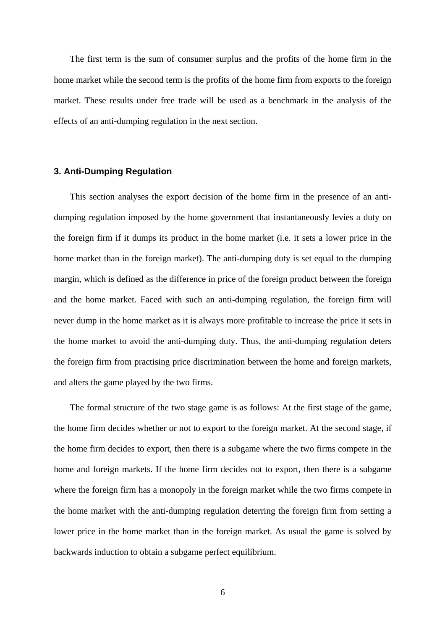The first term is the sum of consumer surplus and the profits of the home firm in the home market while the second term is the profits of the home firm from exports to the foreign market. These results under free trade will be used as a benchmark in the analysis of the effects of an anti-dumping regulation in the next section.

#### **3. Anti-Dumping Regulation**

This section analyses the export decision of the home firm in the presence of an antidumping regulation imposed by the home government that instantaneously levies a duty on the foreign firm if it dumps its product in the home market (i.e. it sets a lower price in the home market than in the foreign market). The anti-dumping duty is set equal to the dumping margin, which is defined as the difference in price of the foreign product between the foreign and the home market. Faced with such an anti-dumping regulation, the foreign firm will never dump in the home market as it is always more profitable to increase the price it sets in the home market to avoid the anti-dumping duty. Thus, the anti-dumping regulation deters the foreign firm from practising price discrimination between the home and foreign markets, and alters the game played by the two firms.

The formal structure of the two stage game is as follows: At the first stage of the game, the home firm decides whether or not to export to the foreign market. At the second stage, if the home firm decides to export, then there is a subgame where the two firms compete in the home and foreign markets. If the home firm decides not to export, then there is a subgame where the foreign firm has a monopoly in the foreign market while the two firms compete in the home market with the anti-dumping regulation deterring the foreign firm from setting a lower price in the home market than in the foreign market. As usual the game is solved by backwards induction to obtain a subgame perfect equilibrium.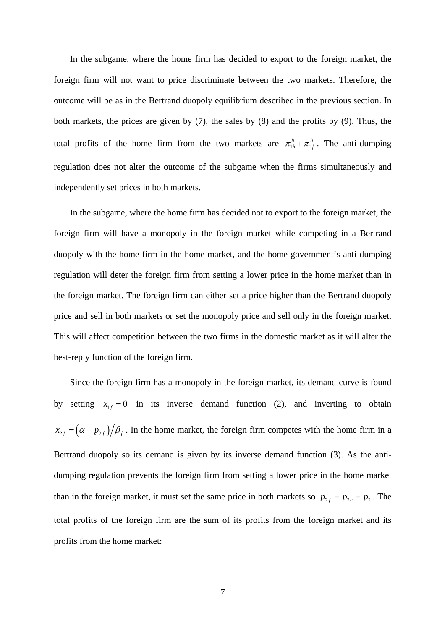In the subgame, where the home firm has decided to export to the foreign market, the foreign firm will not want to price discriminate between the two markets. Therefore, the outcome will be as in the Bertrand duopoly equilibrium described in the previous section. In both markets, the prices are given by (7), the sales by (8) and the profits by (9). Thus, the total profits of the home firm from the two markets are  $\pi_{1h}^B + \pi_{1f}^B$ . The anti-dumping regulation does not alter the outcome of the subgame when the firms simultaneously and independently set prices in both markets.

In the subgame, where the home firm has decided not to export to the foreign market, the foreign firm will have a monopoly in the foreign market while competing in a Bertrand duopoly with the home firm in the home market, and the home government's anti-dumping regulation will deter the foreign firm from setting a lower price in the home market than in the foreign market. The foreign firm can either set a price higher than the Bertrand duopoly price and sell in both markets or set the monopoly price and sell only in the foreign market. This will affect competition between the two firms in the domestic market as it will alter the best-reply function of the foreign firm.

Since the foreign firm has a monopoly in the foreign market, its demand curve is found by setting  $x_{1} = 0$  in its inverse demand function (2), and inverting to obtain  $x_{2f} = (\alpha - p_{2f})/\beta_f$ . In the home market, the foreign firm competes with the home firm in a Bertrand duopoly so its demand is given by its inverse demand function (3). As the antidumping regulation prevents the foreign firm from setting a lower price in the home market than in the foreign market, it must set the same price in both markets so  $p_{2f} = p_{2h} = p_2$ . The total profits of the foreign firm are the sum of its profits from the foreign market and its profits from the home market: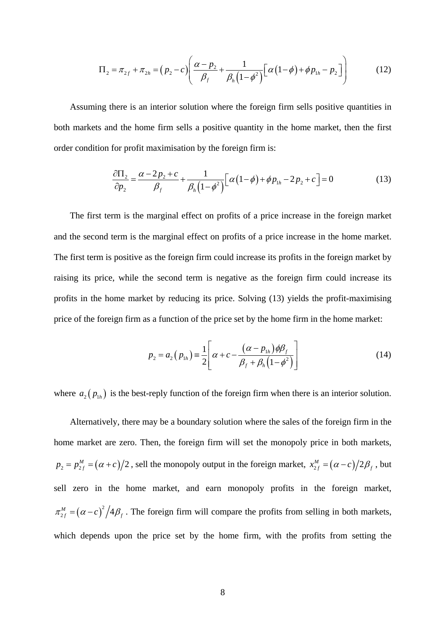$$
\Pi_2 = \pi_{2f} + \pi_{2h} = (p_2 - c) \left( \frac{\alpha - p_2}{\beta_f} + \frac{1}{\beta_h (1 - \phi^2)} \left[ \alpha (1 - \phi) + \phi p_{1h} - p_2 \right] \right)
$$
(12)

Assuming there is an interior solution where the foreign firm sells positive quantities in both markets and the home firm sells a positive quantity in the home market, then the first order condition for profit maximisation by the foreign firm is:

$$
\frac{\partial \Pi_2}{\partial p_2} = \frac{\alpha - 2p_2 + c}{\beta_f} + \frac{1}{\beta_h (1 - \phi^2)} \Big[ \alpha (1 - \phi) + \phi p_{1h} - 2p_2 + c \Big] = 0 \tag{13}
$$

The first term is the marginal effect on profits of a price increase in the foreign market and the second term is the marginal effect on profits of a price increase in the home market. The first term is positive as the foreign firm could increase its profits in the foreign market by raising its price, while the second term is negative as the foreign firm could increase its profits in the home market by reducing its price. Solving (13) yields the profit-maximising price of the foreign firm as a function of the price set by the home firm in the home market:

$$
p_2 = a_2 (p_{1h}) = \frac{1}{2} \left[ \alpha + c - \frac{(\alpha - p_{1h}) \phi \beta_f}{\beta_f + \beta_h (1 - \phi^2)} \right]
$$
(14)

where  $a_2 ( p_{1h} )$  is the best-reply function of the foreign firm when there is an interior solution.

Alternatively, there may be a boundary solution where the sales of the foreign firm in the home market are zero. Then, the foreign firm will set the monopoly price in both markets,  $p_2 = p_{2f}^M = (\alpha + c)/2$ , sell the monopoly output in the foreign market,  $x_{2f}^M = (\alpha - c)/2\beta_f$ , but sell zero in the home market, and earn monopoly profits in the foreign market,  $\pi_{2f}^{M} = (\alpha - c)^{2} / 4 \beta_{f}$ . The foreign firm will compare the profits from selling in both markets, which depends upon the price set by the home firm, with the profits from setting the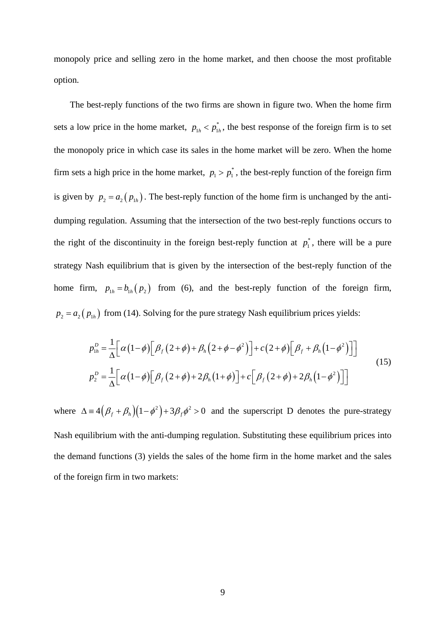monopoly price and selling zero in the home market, and then choose the most profitable option.

The best-reply functions of the two firms are shown in figure two. When the home firm sets a low price in the home market,  $p_{1h} < p_{1h}^*$ , the best response of the foreign firm is to set the monopoly price in which case its sales in the home market will be zero. When the home firm sets a high price in the home market,  $p_1 > p_1^*$ , the best-reply function of the foreign firm is given by  $p_2 = a_2 (p_{1h})$ . The best-reply function of the home firm is unchanged by the antidumping regulation. Assuming that the intersection of the two best-reply functions occurs to the right of the discontinuity in the foreign best-reply function at  $p_1^*$ , there will be a pure strategy Nash equilibrium that is given by the intersection of the best-reply function of the home firm,  $p_{1h} = b_{1h} (p_2)$  from (6), and the best-reply function of the foreign firm,  $p_2 = a_2 ( p_{1h} )$  from (14). Solving for the pure strategy Nash equilibrium prices yields:

$$
p_{1h}^D = \frac{1}{\Delta} \Big[ \alpha \big( 1 - \phi \big) \Big[ \beta_f \big( 2 + \phi \big) + \beta_h \big( 2 + \phi - \phi^2 \big) \Big] + c \big( 2 + \phi \big) \Big[ \beta_f + \beta_h \big( 1 - \phi^2 \big) \Big] \Big]
$$
  
\n
$$
p_2^D = \frac{1}{\Delta} \Big[ \alpha \big( 1 - \phi \big) \Big[ \beta_f \big( 2 + \phi \big) + 2 \beta_h \big( 1 + \phi \big) \Big] + c \Big[ \beta_f \big( 2 + \phi \big) + 2 \beta_h \big( 1 - \phi^2 \big) \Big] \Big]
$$
  
\n
$$
(15)
$$

where  $\Delta = 4 (\beta_f + \beta_h)(1 - \phi^2) + 3\beta_f \phi^2 > 0$  and the superscript D denotes the pure-strategy Nash equilibrium with the anti-dumping regulation. Substituting these equilibrium prices into the demand functions (3) yields the sales of the home firm in the home market and the sales of the foreign firm in two markets: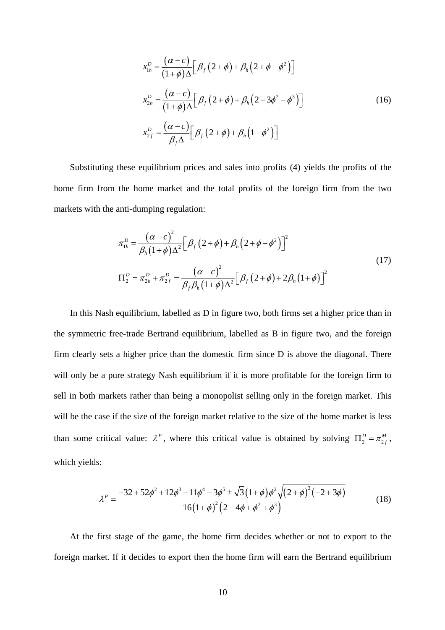$$
x_{1h}^D = \frac{(\alpha - c)}{(1 + \phi)\Delta} \Big[ \beta_f (2 + \phi) + \beta_h (2 + \phi - \phi^2) \Big]
$$
  

$$
x_{2h}^D = \frac{(\alpha - c)}{(1 + \phi)\Delta} \Big[ \beta_f (2 + \phi) + \beta_h (2 - 3\phi^2 - \phi^3) \Big]
$$
  

$$
x_{2f}^D = \frac{(\alpha - c)}{\beta_f \Delta} \Big[ \beta_f (2 + \phi) + \beta_h (1 - \phi^2) \Big]
$$
 (16)

Substituting these equilibrium prices and sales into profits (4) yields the profits of the home firm from the home market and the total profits of the foreign firm from the two markets with the anti-dumping regulation:

$$
\pi_{1h}^{D} = \frac{(\alpha - c)^{2}}{\beta_{h}(1 + \phi)\Delta^{2}} \Big[ \beta_{f}(2 + \phi) + \beta_{h}(2 + \phi - \phi^{2}) \Big]^{2}
$$
\n
$$
\Pi_{2}^{D} = \pi_{2h}^{D} + \pi_{2f}^{D} = \frac{(\alpha - c)^{2}}{\beta_{f}\beta_{h}(1 + \phi)\Delta^{2}} \Big[ \beta_{f}(2 + \phi) + 2\beta_{h}(1 + \phi) \Big]^{2}
$$
\n(17)

In this Nash equilibrium, labelled as D in figure two, both firms set a higher price than in the symmetric free-trade Bertrand equilibrium, labelled as B in figure two, and the foreign firm clearly sets a higher price than the domestic firm since D is above the diagonal. There will only be a pure strategy Nash equilibrium if it is more profitable for the foreign firm to sell in both markets rather than being a monopolist selling only in the foreign market. This will be the case if the size of the foreign market relative to the size of the home market is less than some critical value:  $\lambda^P$ , where this critical value is obtained by solving  $\Pi_2^D = \pi_{2f}^M$ , which yields:

$$
\lambda^{P} = \frac{-32 + 52\phi^{2} + 12\phi^{3} - 11\phi^{4} - 3\phi^{5} \pm \sqrt{3}(1+\phi)\phi^{2}\sqrt{(2+\phi)^{3}(-2+3\phi)}}{16(1+\phi)^{2}(2-4\phi+\phi^{2}+\phi^{3})}
$$
(18)

At the first stage of the game, the home firm decides whether or not to export to the foreign market. If it decides to export then the home firm will earn the Bertrand equilibrium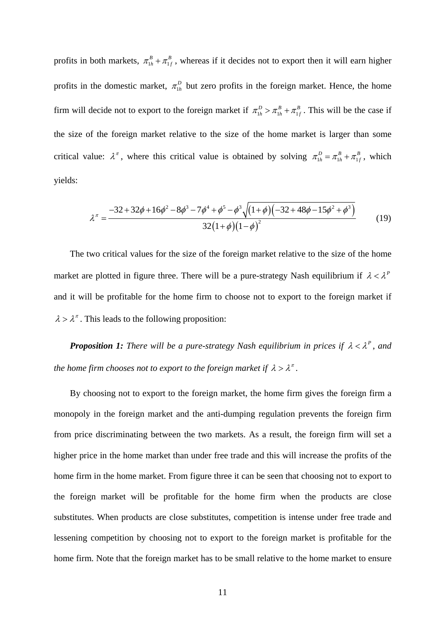profits in both markets,  $\pi_{1h}^{B} + \pi_{1f}^{B}$ , whereas if it decides not to export then it will earn higher profits in the domestic market,  $\pi_{1h}^D$  but zero profits in the foreign market. Hence, the home firm will decide not to export to the foreign market if  $\pi_{1h}^D > \pi_{1h}^B + \pi_{1f}^B$ . This will be the case if the size of the foreign market relative to the size of the home market is larger than some critical value:  $\lambda^{\pi}$ , where this critical value is obtained by solving  $\pi_{1h}^D = \pi_{1h}^B + \pi_{1f}^B$ , which yields:

$$
\lambda^{\pi} = \frac{-32 + 32\phi + 16\phi^2 - 8\phi^3 - 7\phi^4 + \phi^5 - \phi^3 \sqrt{(1 + \phi)(-32 + 48\phi - 15\phi^2 + \phi^3)}}{32(1 + \phi)(1 - \phi)^2}
$$
(19)

The two critical values for the size of the foreign market relative to the size of the home market are plotted in figure three. There will be a pure-strategy Nash equilibrium if  $\lambda < \lambda^P$ and it will be profitable for the home firm to choose not to export to the foreign market if  $\lambda > \lambda^{\pi}$ . This leads to the following proposition:

*Proposition 1: There will be a pure-strategy Nash equilibrium in prices if* $\lambda < \lambda^P$ **, and** *the home firm chooses not to export to the foreign market if*  $\lambda > \lambda^{\pi}$ .

By choosing not to export to the foreign market, the home firm gives the foreign firm a monopoly in the foreign market and the anti-dumping regulation prevents the foreign firm from price discriminating between the two markets. As a result, the foreign firm will set a higher price in the home market than under free trade and this will increase the profits of the home firm in the home market. From figure three it can be seen that choosing not to export to the foreign market will be profitable for the home firm when the products are close substitutes. When products are close substitutes, competition is intense under free trade and lessening competition by choosing not to export to the foreign market is profitable for the home firm. Note that the foreign market has to be small relative to the home market to ensure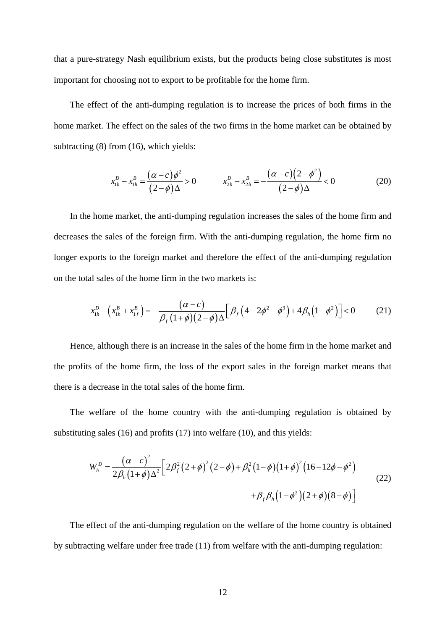that a pure-strategy Nash equilibrium exists, but the products being close substitutes is most important for choosing not to export to be profitable for the home firm.

The effect of the anti-dumping regulation is to increase the prices of both firms in the home market. The effect on the sales of the two firms in the home market can be obtained by subtracting (8) from (16), which yields:

$$
x_{1h}^D - x_{1h}^B = \frac{(\alpha - c)\phi^2}{(2 - \phi)\Delta} > 0 \qquad x_{2h}^D - x_{2h}^B = -\frac{(\alpha - c)(2 - \phi^2)}{(2 - \phi)\Delta} < 0 \tag{20}
$$

In the home market, the anti-dumping regulation increases the sales of the home firm and decreases the sales of the foreign firm. With the anti-dumping regulation, the home firm no longer exports to the foreign market and therefore the effect of the anti-dumping regulation on the total sales of the home firm in the two markets is:

$$
x_{1h}^D - \left(x_{1h}^B + x_{1f}^B\right) = -\frac{(\alpha - c)}{\beta_f (1 + \phi)(2 - \phi)\Delta} \left[\beta_f \left(4 - 2\phi^2 - \phi^3\right) + 4\beta_h \left(1 - \phi^2\right)\right] < 0 \tag{21}
$$

Hence, although there is an increase in the sales of the home firm in the home market and the profits of the home firm, the loss of the export sales in the foreign market means that there is a decrease in the total sales of the home firm.

The welfare of the home country with the anti-dumping regulation is obtained by substituting sales (16) and profits (17) into welfare (10), and this yields:

$$
W_h^D = \frac{(\alpha - c)^2}{2\beta_h(1 + \phi)\Delta^2} \Big[ 2\beta_f^2 (2 + \phi)^2 (2 - \phi) + \beta_h^2 (1 - \phi)(1 + \phi)^2 (16 - 12\phi - \phi^2) + \beta_f \beta_h (1 - \phi^2)(2 + \phi)(8 - \phi) \Big]
$$
(22)

The effect of the anti-dumping regulation on the welfare of the home country is obtained by subtracting welfare under free trade (11) from welfare with the anti-dumping regulation: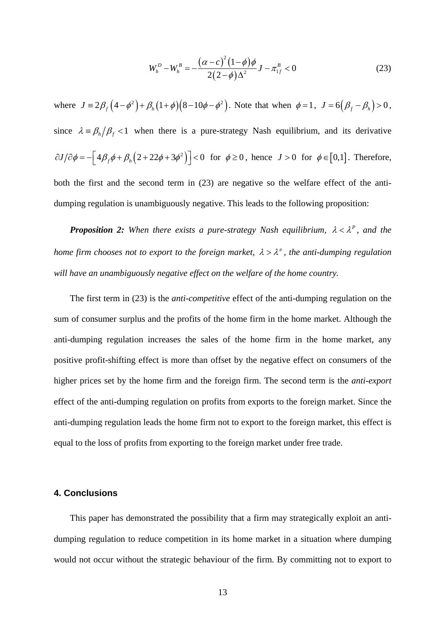$$
W_h^D - W_h^B = -\frac{(\alpha - c)^2 (1 - \phi)\phi}{2(2 - \phi)\Delta^2} J - \pi_{1f}^B < 0
$$
 (23)

where  $J = 2\beta_f (4 - \phi^2) + \beta_h (1 + \phi)(8 - 10\phi - \phi^2)$ . Note that when  $\phi = 1$ ,  $J = 6(\beta_f - \beta_h) > 0$ , since  $\lambda = \beta_h / \beta_f < 1$  when there is a pure-strategy Nash equilibrium, and its derivative  $\partial J / \partial \phi = - \left[ 4 \beta_f \phi + \beta_h (2 + 22 \phi + 3 \phi^2) \right] < 0$  for  $\phi \ge 0$ , hence  $J > 0$  for  $\phi \in [0,1]$ . Therefore, both the first and the second term in (23) are negative so the welfare effect of the antidumping regulation is unambiguously negative. This leads to the following proposition:

*Proposition 2: When there exists a pure-strategy Nash equilibrium,*  $\lambda < \lambda^P$ , and the *home firm chooses not to export to the foreign market,*  $\lambda > \lambda^{\pi}$ *, the anti-dumping regulation will have an unambiguously negative effect on the welfare of the home country.*

The first term in (23) is the *anti-competitive* effect of the anti-dumping regulation on the sum of consumer surplus and the profits of the home firm in the home market. Although the anti-dumping regulation increases the sales of the home firm in the home market, any positive profit-shifting effect is more than offset by the negative effect on consumers of the higher prices set by the home firm and the foreign firm. The second term is the *anti-export* effect of the anti-dumping regulation on profits from exports to the foreign market. Since the anti-dumping regulation leads the home firm not to export to the foreign market, this effect is equal to the loss of profits from exporting to the foreign market under free trade.

#### **4. Conclusions**

This paper has demonstrated the possibility that a firm may strategically exploit an antidumping regulation to reduce competition in its home market in a situation where dumping would not occur without the strategic behaviour of the firm. By committing not to export to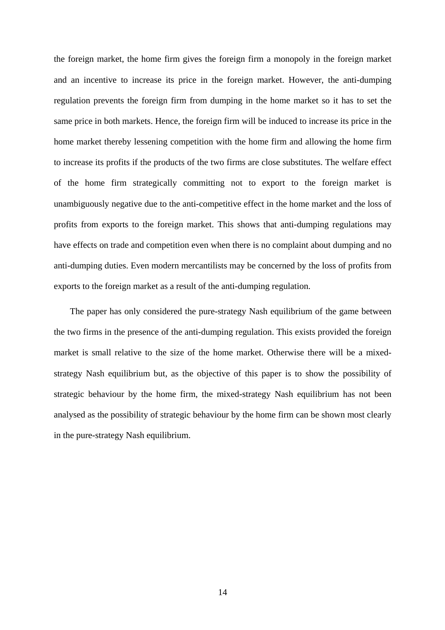the foreign market, the home firm gives the foreign firm a monopoly in the foreign market and an incentive to increase its price in the foreign market. However, the anti-dumping regulation prevents the foreign firm from dumping in the home market so it has to set the same price in both markets. Hence, the foreign firm will be induced to increase its price in the home market thereby lessening competition with the home firm and allowing the home firm to increase its profits if the products of the two firms are close substitutes. The welfare effect of the home firm strategically committing not to export to the foreign market is unambiguously negative due to the anti-competitive effect in the home market and the loss of profits from exports to the foreign market. This shows that anti-dumping regulations may have effects on trade and competition even when there is no complaint about dumping and no anti-dumping duties. Even modern mercantilists may be concerned by the loss of profits from exports to the foreign market as a result of the anti-dumping regulation.

The paper has only considered the pure-strategy Nash equilibrium of the game between the two firms in the presence of the anti-dumping regulation. This exists provided the foreign market is small relative to the size of the home market. Otherwise there will be a mixedstrategy Nash equilibrium but, as the objective of this paper is to show the possibility of strategic behaviour by the home firm, the mixed-strategy Nash equilibrium has not been analysed as the possibility of strategic behaviour by the home firm can be shown most clearly in the pure-strategy Nash equilibrium.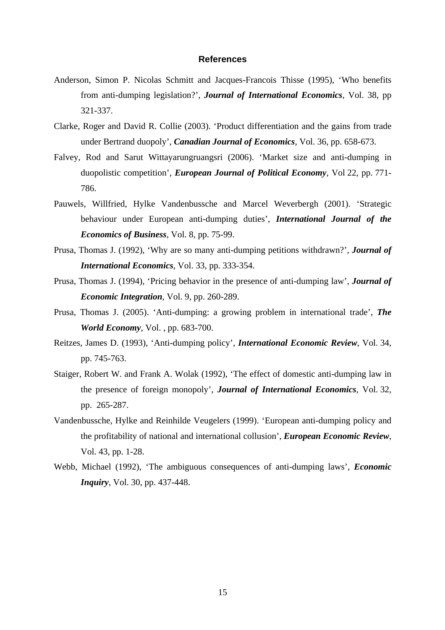#### **References**

- Anderson, Simon P. Nicolas Schmitt and Jacques-Francois Thisse (1995), 'Who benefits from anti-dumping legislation?', *Journal of International Economics*, Vol. 38, pp 321-337.
- Clarke, Roger and David R. Collie (2003). 'Product differentiation and the gains from trade under Bertrand duopoly', *Canadian Journal of Economics*, Vol. 36, pp. 658-673.
- Falvey, Rod and Sarut Wittayarungruangsri (2006). 'Market size and anti-dumping in duopolistic competition', *European Journal of Political Economy*, Vol 22, pp. 771- 786.
- Pauwels, Willfried, Hylke Vandenbussche and Marcel Weverbergh (2001). 'Strategic behaviour under European anti-dumping duties', *International Journal of the Economics of Business*, Vol. 8, pp. 75-99.
- Prusa, Thomas J. (1992), 'Why are so many anti-dumping petitions withdrawn?', *Journal of International Economics*, Vol. 33, pp. 333-354.
- Prusa, Thomas J. (1994), 'Pricing behavior in the presence of anti-dumping law', *Journal of Economic Integration*, Vol. 9, pp. 260-289.
- Prusa, Thomas J. (2005). 'Anti-dumping: a growing problem in international trade', *The World Economy*, Vol. , pp. 683-700.
- Reitzes, James D. (1993), 'Anti-dumping policy', *International Economic Review*, Vol. 34, pp. 745-763.
- Staiger, Robert W. and Frank A. Wolak (1992), 'The effect of domestic anti-dumping law in the presence of foreign monopoly', *Journal of International Economics*, Vol. 32, pp. 265-287.
- Vandenbussche, Hylke and Reinhilde Veugelers (1999). 'European anti-dumping policy and the profitability of national and international collusion', *European Economic Review*, Vol. 43, pp. 1-28.
- Webb, Michael (1992), 'The ambiguous consequences of anti-dumping laws', *Economic Inquiry*, Vol. 30, pp. 437-448.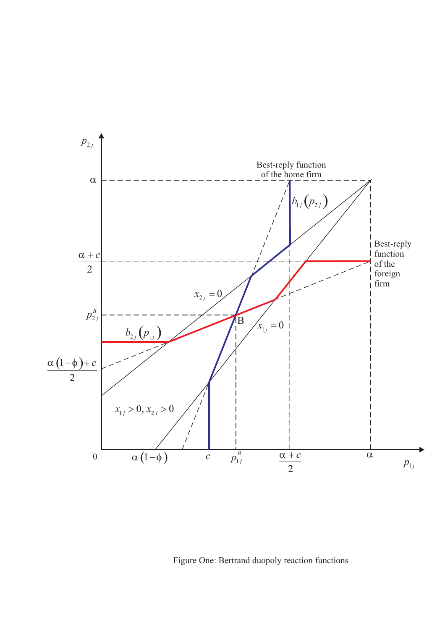

Figure One: Bertrand duopoly reaction functions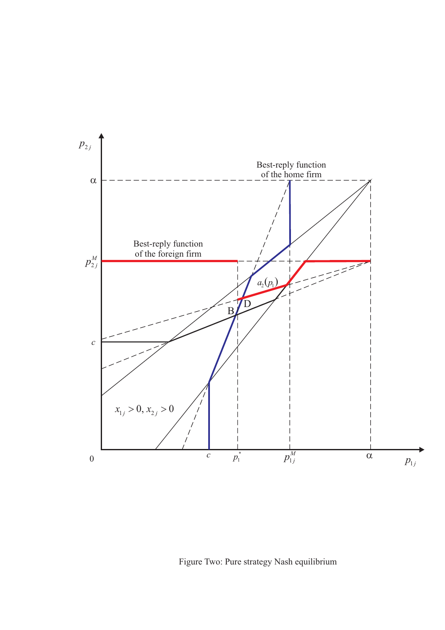

Figure Two: Pure strategy Nash equilibrium